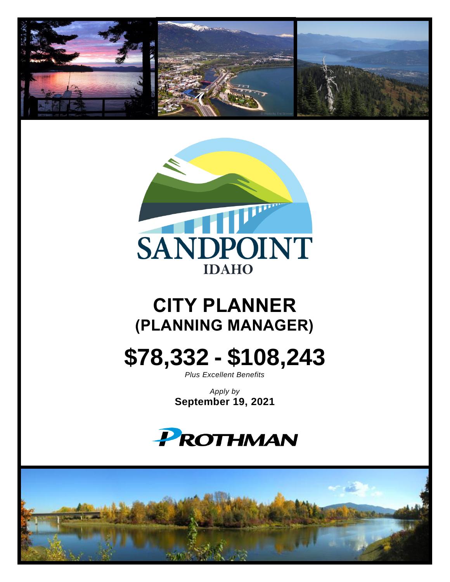



# **CITY PLANNER (PLANNING MANAGER)**

# **\$78,332 - \$108,243**

*Plus Excellent Benefits*

*Apply by* **September 19, 2021**



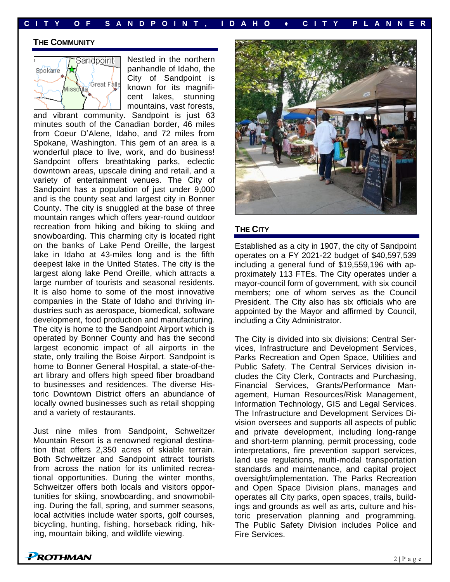**C I T Y O F S A N D P O I N T , I D A H O ♦ C I T Y P L A N N E R**

#### **THE COMMUNITY**



Nestled in the northern panhandle of Idaho, the City of Sandpoint is known for its magnificent lakes, stunning mountains, vast forests,

and vibrant community. Sandpoint is just 63 minutes south of the Canadian border, 46 miles from Coeur D'Alene, Idaho, and 72 miles from Spokane, Washington. This gem of an area is a wonderful place to live, work, and do business! Sandpoint offers breathtaking parks, eclectic downtown areas, upscale dining and retail, and a variety of entertainment venues. The City of Sandpoint has a population of just under 9,000 and is the county seat and largest city in Bonner County. The city is snuggled at the base of three mountain ranges which offers year-round outdoor recreation from hiking and biking to skiing and snowboarding. This charming city is located right on the banks of Lake Pend Oreille, the largest lake in Idaho at 43-miles long and is the fifth deepest lake in the United States. The city is the largest along lake Pend Oreille, which attracts a large number of tourists and seasonal residents. It is also home to some of the most innovative companies in the State of Idaho and thriving industries such as aerospace, biomedical, software development, food production and manufacturing. The city is home to the Sandpoint Airport which is operated by Bonner County and has the second largest economic impact of all airports in the state, only trailing the Boise Airport. Sandpoint is home to Bonner General Hospital, a state-of-theart library and offers high speed fiber broadband to businesses and residences. The diverse Historic Downtown District offers an abundance of locally owned businesses such as retail shopping and a variety of restaurants.

Just nine miles from Sandpoint, Schweitzer Mountain Resort is a renowned regional destination that offers 2,350 acres of skiable terrain. Both Schweitzer and Sandpoint attract tourists from across the nation for its unlimited recreational opportunities. During the winter months, Schweitzer offers both locals and visitors opportunities for skiing, snowboarding, and snowmobiling. During the fall, spring, and summer seasons, local activities include water sports, golf courses, bicycling, hunting, fishing, horseback riding, hiking, mountain biking, and wildlife viewing.



#### **THE CITY**

Established as a city in 1907, the city of Sandpoint operates on a FY 2021-22 budget of \$40,597,539 including a general fund of \$19,559,196 with approximately 113 FTEs. The City operates under a mayor-council form of government, with six council members; one of whom serves as the Council President. The City also has six officials who are appointed by the Mayor and affirmed by Council, including a City Administrator.

The City is divided into six divisions: Central Services, Infrastructure and Development Services, Parks Recreation and Open Space, Utilities and Public Safety. The Central Services division includes the City Clerk, Contracts and Purchasing, Financial Services, Grants/Performance Management, Human Resources/Risk Management, Information Technology, GIS and Legal Services. The Infrastructure and Development Services Division oversees and supports all aspects of public and private development, including long-range and short-term planning, permit processing, code interpretations, fire prevention support services, land use regulations, multi-modal transportation standards and maintenance, and capital project oversight/implementation. The Parks Recreation and Open Space Division plans, manages and operates all City parks, open spaces, trails, buildings and grounds as well as arts, culture and historic preservation planning and programming. The Public Safety Division includes Police and Fire Services.

**PROTHMAN**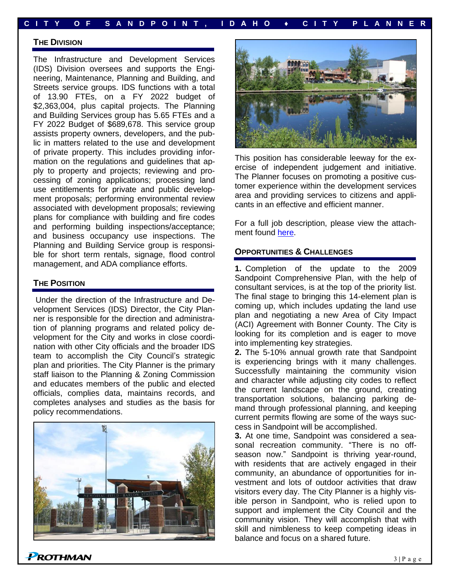#### **C I T Y O F S A N D P O I N T , I D A H O ♦ C I T Y P L A N N E R**

#### **THE DIVISION**

The Infrastructure and Development Services (IDS) Division oversees and supports the Engineering, Maintenance, Planning and Building, and Streets service groups. IDS functions with a total of 13.90 FTEs, on a FY 2022 budget of \$2,363,004, plus capital projects. The Planning and Building Services group has 5.65 FTEs and a FY 2022 Budget of \$689,678. This service group assists property owners, developers, and the public in matters related to the use and development of private property. This includes providing information on the regulations and guidelines that apply to property and projects; reviewing and processing of zoning applications; processing land use entitlements for private and public development proposals; performing environmental review associated with development proposals; reviewing plans for compliance with building and fire codes and performing building inspections/acceptance; and business occupancy use inspections. The Planning and Building Service group is responsible for short term rentals, signage, flood control management, and ADA compliance efforts.

#### **THE POSITION**

**PROTHMAN** 

Under the direction of the Infrastructure and Development Services (IDS) Director, the City Planner is responsible for the direction and administration of planning programs and related policy development for the City and works in close coordination with other City officials and the broader IDS team to accomplish the City Council's strategic plan and priorities. The City Planner is the primary staff liaison to the Planning & Zoning Commission and educates members of the public and elected officials, complies data, maintains records, and completes analyses and studies as the basis for policy recommendations.





This position has considerable leeway for the exercise of independent judgement and initiative. The Planner focuses on promoting a positive customer experience within the development services area and providing services to citizens and applicants in an effective and efficient manner.

For a full job description, please view the attachment found [here.](https://prothman.com/JobFiles/2897/City%20Planner%20Job%20Spec.pdf)

#### **OPPORTUNITIES & CHALLENGES**

**1.** Completion of the update to the 2009 Sandpoint Comprehensive Plan, with the help of consultant services, is at the top of the priority list. The final stage to bringing this 14-element plan is coming up, which includes updating the land use plan and negotiating a new Area of City Impact (ACI) Agreement with Bonner County. The City is looking for its completion and is eager to move into implementing key strategies.

**2.** The 5-10% annual growth rate that Sandpoint is experiencing brings with it many challenges. Successfully maintaining the community vision and character while adjusting city codes to reflect the current landscape on the ground, creating transportation solutions, balancing parking demand through professional planning, and keeping current permits flowing are some of the ways success in Sandpoint will be accomplished.

**3.** At one time, Sandpoint was considered a seasonal recreation community. "There is no offseason now." Sandpoint is thriving year-round, with residents that are actively engaged in their community, an abundance of opportunities for investment and lots of outdoor activities that draw visitors every day. The City Planner is a highly visible person in Sandpoint, who is relied upon to support and implement the City Council and the community vision. They will accomplish that with skill and nimbleness to keep competing ideas in balance and focus on a shared future.